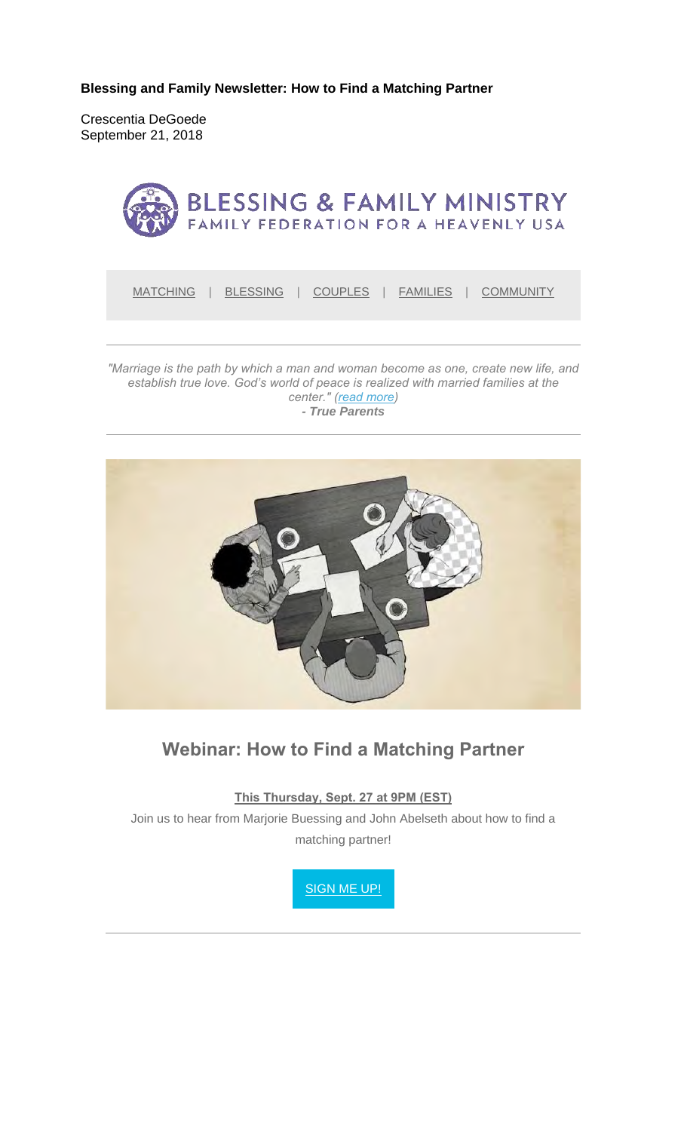**Blessing and Family Newsletter: How to Find a Matching Partner**

Crescentia DeGoede September 21, 2018



*establish true love. God's world of peace is realized with married families at the center." (read more) - True Parents*



## **Webinar: How to Find a Matching Partner**

**This Thursday, Sept. 27 at 9PM (EST)**

Join us to hear from Marjorie Buessing and John Abelseth about how to find a matching partner!

SIGN ME UP!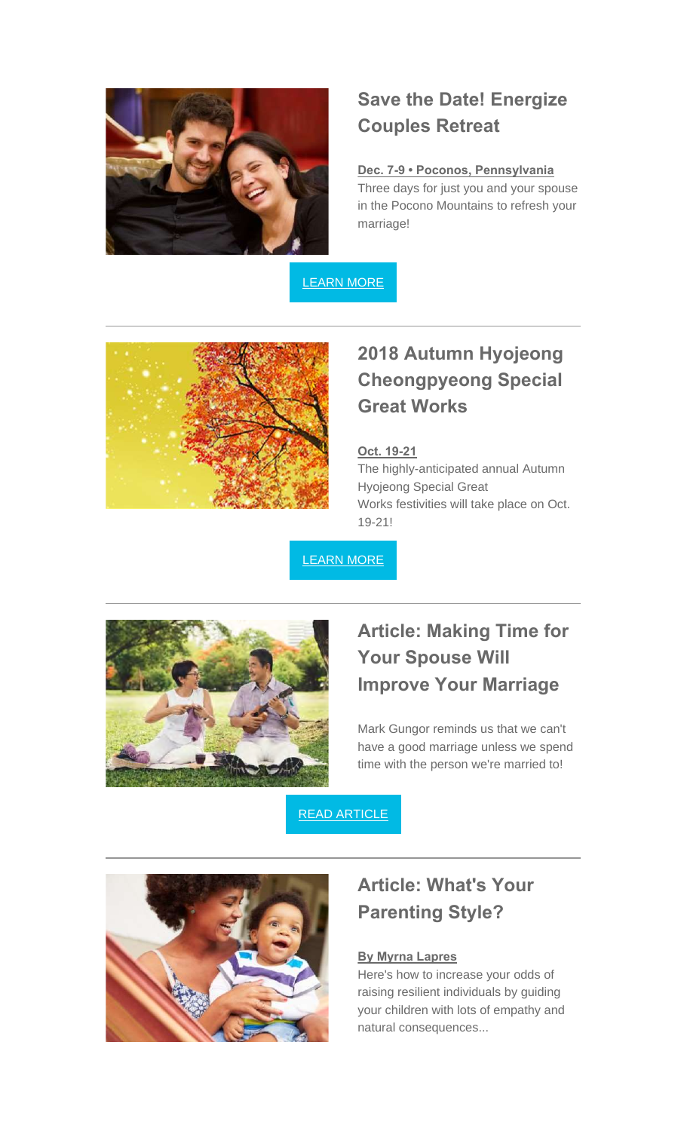

## **Save the Date! Energize Couples Retreat**

### **Dec. 7-9 • Poconos, Pennsylvania**

Three days for just you and your spouse in the Pocono Mountains to refresh your marriage!

LEARN MORE



# **2018 Autumn Hyojeong Cheongpyeong Special Great Works**

#### **Oct. 19-21**

The highly-anticipated annual Autumn Hyojeong Special Great Works festivities will take place on Oct. 19-21!

LEARN MORE



## **Article: Making Time for Your Spouse Will Improve Your Marriage**

Mark Gungor reminds us that we can't have a good marriage unless we spend time with the person we're married to!

### READ ARTICLE



## **Article: What's Your Parenting Style?**

#### **By Myrna Lapres**

Here's how to increase your odds of raising resilient individuals by guiding your children with lots of empathy and natural consequences...